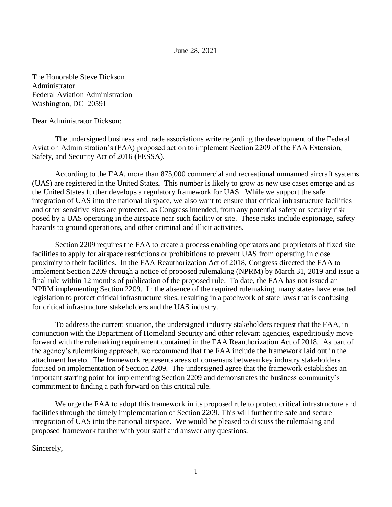#### June 28, 2021

The Honorable Steve Dickson Administrator Federal Aviation Administration Washington, DC 20591

Dear Administrator Dickson:

The undersigned business and trade associations write regarding the development of the Federal Aviation Administration's (FAA) proposed action to implement Section 2209 of the FAA Extension, Safety, and Security Act of 2016 (FESSA).

According to the FAA, more than 875,000 commercial and recreational unmanned aircraft systems (UAS) are registered in the United States. This number is likely to grow as new use cases emerge and as the United States further develops a regulatory framework for UAS. While we support the safe integration of UAS into the national airspace, we also want to ensure that critical infrastructure facilities and other sensitive sites are protected, as Congress intended, from any potential safety or security risk posed by a UAS operating in the airspace near such facility or site. These risks include espionage, safety hazards to ground operations, and other criminal and illicit activities.

Section 2209 requires the FAA to create a process enabling operators and proprietors of fixed site facilities to apply for airspace restrictions or prohibitions to prevent UAS from operating in close proximity to their facilities. In the FAA Reauthorization Act of 2018, Congress directed the FAA to implement Section 2209 through a notice of proposed rulemaking (NPRM) by March 31, 2019 and issue a final rule within 12 months of publication of the proposed rule. To date, the FAA has not issued an NPRM implementing Section 2209. In the absence of the required rulemaking, many states have enacted legislation to protect critical infrastructure sites, resulting in a patchwork of state laws that is confusing for critical infrastructure stakeholders and the UAS industry.

To address the current situation, the undersigned industry stakeholders request that the FAA, in conjunction with the Department of Homeland Security and other relevant agencies, expeditiously move forward with the rulemaking requirement contained in the FAA Reauthorization Act of 2018. As part of the agency's rulemaking approach, we recommend that the FAA include the framework laid out in the attachment hereto. The framework represents areas of consensus between key industry stakeholders focused on implementation of Section 2209. The undersigned agree that the framework establishes an important starting point for implementing Section 2209 and demonstrates the business community's commitment to finding a path forward on this critical rule.

We urge the FAA to adopt this framework in its proposed rule to protect critical infrastructure and facilities through the timely implementation of Section 2209. This will further the safe and secure integration of UAS into the national airspace. We would be pleased to discuss the rulemaking and proposed framework further with your staff and answer any questions.

Sincerely,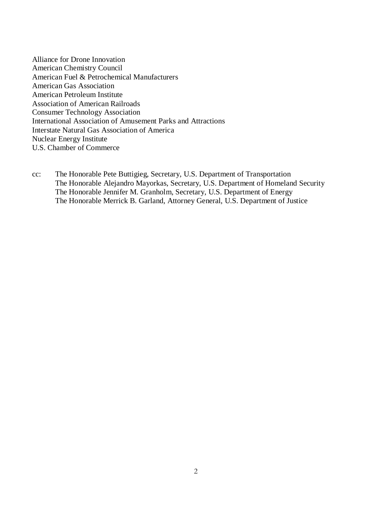Alliance for Drone Innovation American Chemistry Council American Fuel & Petrochemical Manufacturers American Gas Association American Petroleum Institute Association of American Railroads Consumer Technology Association International Association of Amusement Parks and Attractions Interstate Natural Gas Association of America Nuclear Energy Institute U.S. Chamber of Commerce

cc: The Honorable Pete Buttigieg, Secretary, U.S. Department of Transportation The Honorable Alejandro Mayorkas, Secretary, U.S. Department of Homeland Security The Honorable Jennifer M. Granholm, Secretary, U.S. Department of Energy The Honorable Merrick B. Garland, Attorney General, U.S. Department of Justice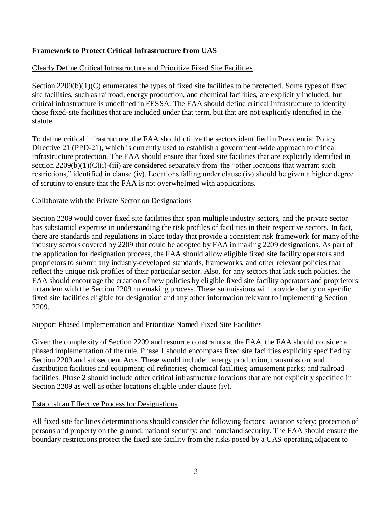# **Framework to Protect Critical Infrastructure from UAS**

# Clearly Define Critical Infrastructure and Prioritize Fixed Site Facilities

Section 2209(b)(1)(C) enumerates the types of fixed site facilities to be protected. Some types of fixed site facilities, such as railroad, energy production, and chemical facilities, are explicitly included, but critical infrastructure is undefined in FESSA. The FAA should define critical infrastructure to identify those fixed-site facilities that are included under that term, but that are not explicitly identified in the statute.

To define critical infrastructure, the FAA should utilize the sectors identified in Presidential Policy Directive 21 (PPD-21), which is currently used to establish a government-wide approach to critical infrastructure protection. The FAA should ensure that fixed site facilities that are explicitly identified in section 2209(b)(1)(C)(i)-(iii) are considered separately from the "other locations that warrant such restrictions," identified in clause (iv). Locations falling under clause (iv) should be given a higher degree of scrutiny to ensure that the FAA is not overwhelmed with applications.

### Collaborate with the Private Sector on Designations

Section 2209 would cover fixed site facilities that span multiple industry sectors, and the private sector has substantial expertise in understanding the risk profiles of facilities in their respective sectors. In fact, there are standards and regulations in place today that provide a consistent risk framework for many of the industry sectors covered by 2209 that could be adopted by FAA in making 2209 designations. As part of the application for designation process, the FAA should allow eligible fixed site facility operators and proprietors to submit any industry-developed standards, frameworks, and other relevant policies that reflect the unique risk profiles of their particular sector. Also, for any sectors that lack such policies, the FAA should encourage the creation of new policies by eligible fixed site facility operators and proprietors in tandem with the Section 2209 rulemaking process. These submissions will provide clarity on specific fixed site facilities eligible for designation and any other information relevant to implementing Section 2209.

## Support Phased Implementation and Prioritize Named Fixed Site Facilities

Given the complexity of Section 2209 and resource constraints at the FAA, the FAA should consider a phased implementation of the rule. Phase 1 should encompass fixed site facilities explicitly specified by Section 2209 and subsequent Acts. These would include: energy production, transmission, and distribution facilities and equipment; oil refineries; chemical facilities; amusement parks; and railroad facilities. Phase 2 should include other critical infrastructure locations that are not explicitly specified in Section 2209 as well as other locations eligible under clause (iv).

#### Establish an Effective Process for Designations

All fixed site facilities determinations should consider the following factors: aviation safety; protection of persons and property on the ground; national security; and homeland security. The FAA should ensure the boundary restrictions protect the fixed site facility from the risks posed by a UAS operating adjacent to